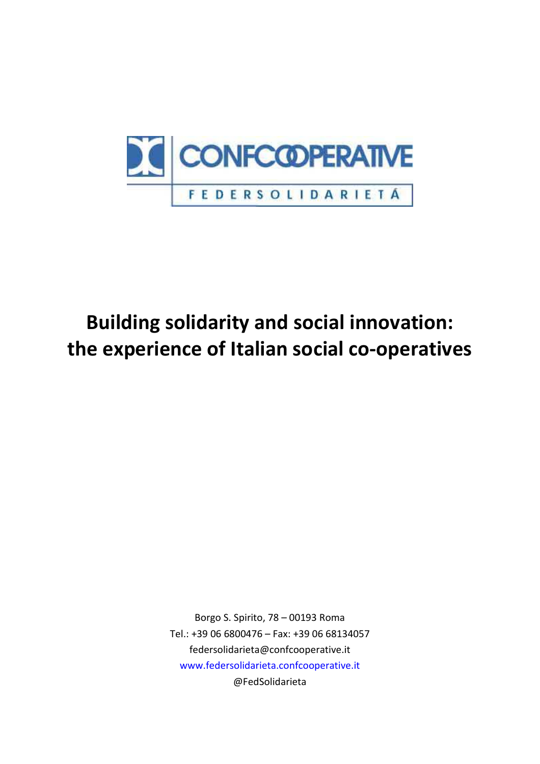

# **Building solidarity and social innovation: the experience of Italian social co-operatives**

Borgo S. Spirito, 78 – 00193 Roma Tel.: +39 06 6800476 – Fax: +39 06 68134057 federsolidarieta@confcooperative.it www.federsolidarieta.confcooperative.it @FedSolidarieta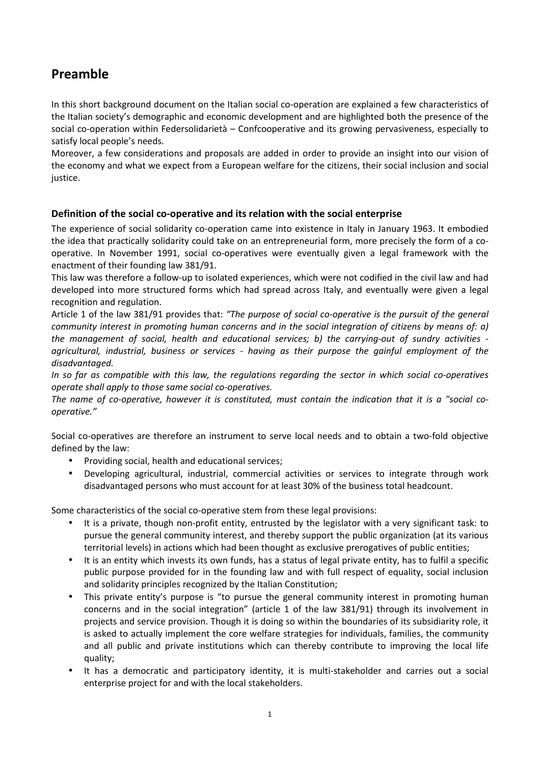# **Preamble**

In this short background document on the Italian social co-operation are explained a few characteristics of the Italian society's demographic and economic development and are highlighted both the presence of the social co-operation within Federsolidarietà – Confcooperative and its growing pervasiveness, especially to satisfy local people's needs.

Moreover, a few considerations and proposals are added in order to provide an insight into our vision of the economy and what we expect from a European welfare for the citizens, their social inclusion and social justice.

# **Definition of the social co-operative and its relation with the social enterprise**

The experience of social solidarity co-operation came into existence in Italy in January 1963. It embodied the idea that practically solidarity could take on an entrepreneurial form, more precisely the form of a cooperative. In November 1991, social co-operatives were eventually given a legal framework with the enactment of their founding law 381/91.

This law was therefore a follow-up to isolated experiences, which were not codified in the civil law and had developed into more structured forms which had spread across Italy, and eventually were given a legal recognition and regulation.

Article 1 of the law 381/91 provides that: *"The purpose of social co-operative is the pursuit of the general community interest in promoting human concerns and in the social integration of citizens by means of: a) the management of social, health and educational services; b) the carrying-out of sundry activities agricultural, industrial, business or services - having as their purpose the gainful employment of the disadvantaged.* 

*In so far as compatible with this law, the regulations regarding the sector in which social co-operatives operate shall apply to those same social co-operatives.* 

*The name of co-operative, however it is constituted, must contain the indication that it is a "social cooperative."* 

Social co-operatives are therefore an instrument to serve local needs and to obtain a two-fold objective defined by the law:

- Providing social, health and educational services;
- Developing agricultural, industrial, commercial activities or services to integrate through work disadvantaged persons who must account for at least 30% of the business total headcount.

Some characteristics of the social co-operative stem from these legal provisions:

- It is a private, though non-profit entity, entrusted by the legislator with a very significant task: to pursue the general community interest, and thereby support the public organization (at its various territorial levels) in actions which had been thought as exclusive prerogatives of public entities;
- It is an entity which invests its own funds, has a status of legal private entity, has to fulfil a specific public purpose provided for in the founding law and with full respect of equality, social inclusion and solidarity principles recognized by the Italian Constitution;
- This private entity's purpose is "to pursue the general community interest in promoting human concerns and in the social integration" (article 1 of the law 381/91) through its involvement in projects and service provision. Though it is doing so within the boundaries of its subsidiarity role, it is asked to actually implement the core welfare strategies for individuals, families, the community and all public and private institutions which can thereby contribute to improving the local life quality;
- It has a democratic and participatory identity, it is multi-stakeholder and carries out a social enterprise project for and with the local stakeholders.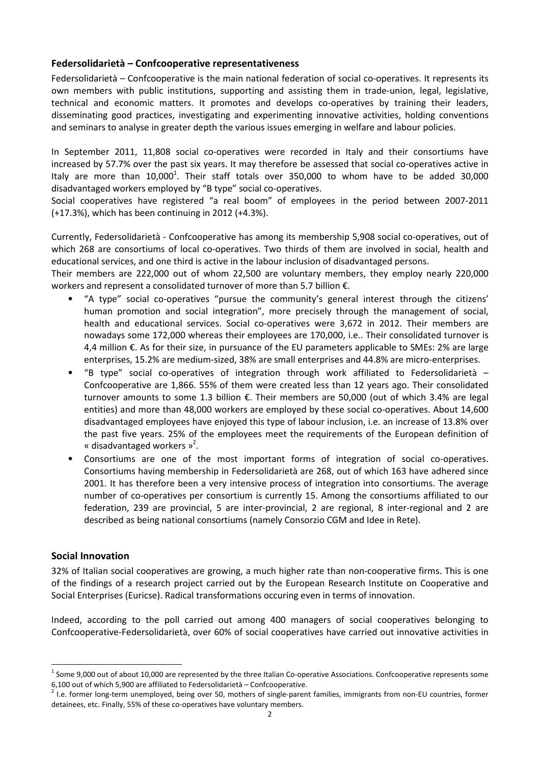# **Federsolidarietà – Confcooperative representativeness**

Federsolidarietà – Confcooperative is the main national federation of social co-operatives. It represents its own members with public institutions, supporting and assisting them in trade-union, legal, legislative, technical and economic matters. It promotes and develops co-operatives by training their leaders, disseminating good practices, investigating and experimenting innovative activities, holding conventions and seminars to analyse in greater depth the various issues emerging in welfare and labour policies.

In September 2011, 11,808 social co-operatives were recorded in Italy and their consortiums have increased by 57.7% over the past six years. It may therefore be assessed that social co-operatives active in Italy are more than  $10,000^1$ . Their staff totals over 350,000 to whom have to be added 30,000 disadvantaged workers employed by "B type" social co-operatives.

Social cooperatives have registered "a real boom" of employees in the period between 2007-2011 (+17.3%), which has been continuing in 2012 (+4.3%).

Currently, Federsolidarietà - Confcooperative has among its membership 5,908 social co-operatives, out of which 268 are consortiums of local co-operatives. Two thirds of them are involved in social, health and educational services, and one third is active in the labour inclusion of disadvantaged persons.

Their members are 222,000 out of whom 22,500 are voluntary members, they employ nearly 220,000 workers and represent a consolidated turnover of more than 5.7 billion €.

- "A type" social co-operatives "pursue the community's general interest through the citizens' human promotion and social integration", more precisely through the management of social, health and educational services. Social co-operatives were 3,672 in 2012. Their members are nowadays some 172,000 whereas their employees are 170,000, i.e.. Their consolidated turnover is 4,4 million €. As for their size, in pursuance of the EU parameters applicable to SMEs: 2% are large enterprises, 15.2% are medium-sized, 38% are small enterprises and 44.8% are micro-enterprises.
- "B type" social co-operatives of integration through work affiliated to Federsolidarietà Confcooperative are 1,866. 55% of them were created less than 12 years ago. Their consolidated turnover amounts to some 1.3 billion €. Their members are 50,000 (out of which 3.4% are legal entities) and more than 48,000 workers are employed by these social co-operatives. About 14,600 disadvantaged employees have enjoyed this type of labour inclusion, i.e. an increase of 13.8% over the past five years. 25% of the employees meet the requirements of the European definition of « disadvantaged workers  $v^2$ .
- Consortiums are one of the most important forms of integration of social co-operatives. Consortiums having membership in Federsolidarietà are 268, out of which 163 have adhered since 2001. It has therefore been a very intensive process of integration into consortiums. The average number of co-operatives per consortium is currently 15. Among the consortiums affiliated to our federation, 239 are provincial, 5 are inter-provincial, 2 are regional, 8 inter-regional and 2 are described as being national consortiums (namely Consorzio CGM and Idee in Rete).

# **Social Innovation**

 $\overline{a}$ 

32% of Italian social cooperatives are growing, a much higher rate than non-cooperative firms. This is one of the findings of a research project carried out by the European Research Institute on Cooperative and Social Enterprises (Euricse). Radical transformations occuring even in terms of innovation.

Indeed, according to the poll carried out among 400 managers of social cooperatives belonging to Confcooperative-Federsolidarietà, over 60% of social cooperatives have carried out innovative activities in

 $^1$  Some 9,000 out of about 10,000 are represented by the three Italian Co-operative Associations. Confcooperative represents some 6,100 out of which 5,900 are affiliated to Federsolidarietà – Confcooperative.

 $^2$  I.e. former long-term unemployed, being over 50, mothers of single-parent families, immigrants from non-EU countries, former detainees, etc. Finally, 55% of these co-operatives have voluntary members.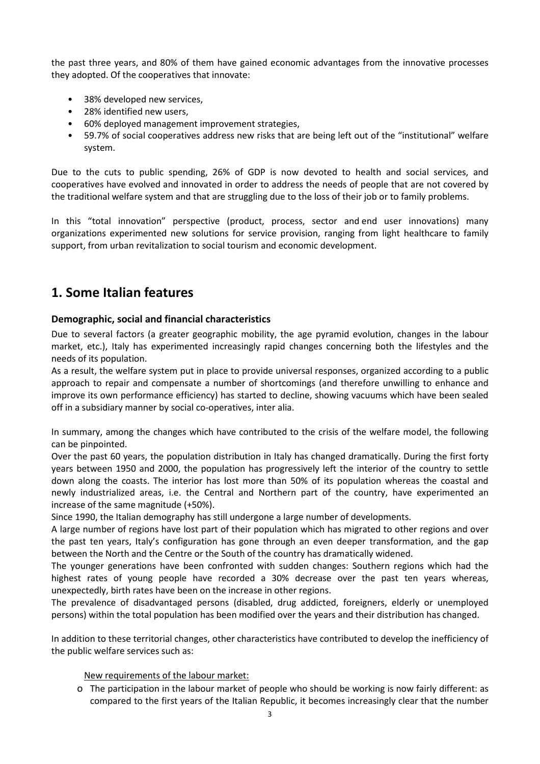the past three years, and 80% of them have gained economic advantages from the innovative processes they adopted. Of the cooperatives that innovate:

- 38% developed new services,
- 28% identified new users,
- 60% deployed management improvement strategies,
- 59.7% of social cooperatives address new risks that are being left out of the "institutional" welfare system.

Due to the cuts to public spending, 26% of GDP is now devoted to health and social services, and cooperatives have evolved and innovated in order to address the needs of people that are not covered by the traditional welfare system and that are struggling due to the loss of their job or to family problems.

In this "total innovation" perspective (product, process, sector and end user innovations) many organizations experimented new solutions for service provision, ranging from light healthcare to family support, from urban revitalization to social tourism and economic development.

# **1. Some Italian features**

# **Demographic, social and financial characteristics**

Due to several factors (a greater geographic mobility, the age pyramid evolution, changes in the labour market, etc.), Italy has experimented increasingly rapid changes concerning both the lifestyles and the needs of its population.

As a result, the welfare system put in place to provide universal responses, organized according to a public approach to repair and compensate a number of shortcomings (and therefore unwilling to enhance and improve its own performance efficiency) has started to decline, showing vacuums which have been sealed off in a subsidiary manner by social co-operatives, inter alia.

In summary, among the changes which have contributed to the crisis of the welfare model, the following can be pinpointed.

Over the past 60 years, the population distribution in Italy has changed dramatically. During the first forty years between 1950 and 2000, the population has progressively left the interior of the country to settle down along the coasts. The interior has lost more than 50% of its population whereas the coastal and newly industrialized areas, i.e. the Central and Northern part of the country, have experimented an increase of the same magnitude (+50%).

Since 1990, the Italian demography has still undergone a large number of developments.

A large number of regions have lost part of their population which has migrated to other regions and over the past ten years, Italy's configuration has gone through an even deeper transformation, and the gap between the North and the Centre or the South of the country has dramatically widened.

The younger generations have been confronted with sudden changes: Southern regions which had the highest rates of young people have recorded a 30% decrease over the past ten years whereas, unexpectedly, birth rates have been on the increase in other regions.

The prevalence of disadvantaged persons (disabled, drug addicted, foreigners, elderly or unemployed persons) within the total population has been modified over the years and their distribution has changed.

In addition to these territorial changes, other characteristics have contributed to develop the inefficiency of the public welfare services such as:

New requirements of the labour market:

o The participation in the labour market of people who should be working is now fairly different: as compared to the first years of the Italian Republic, it becomes increasingly clear that the number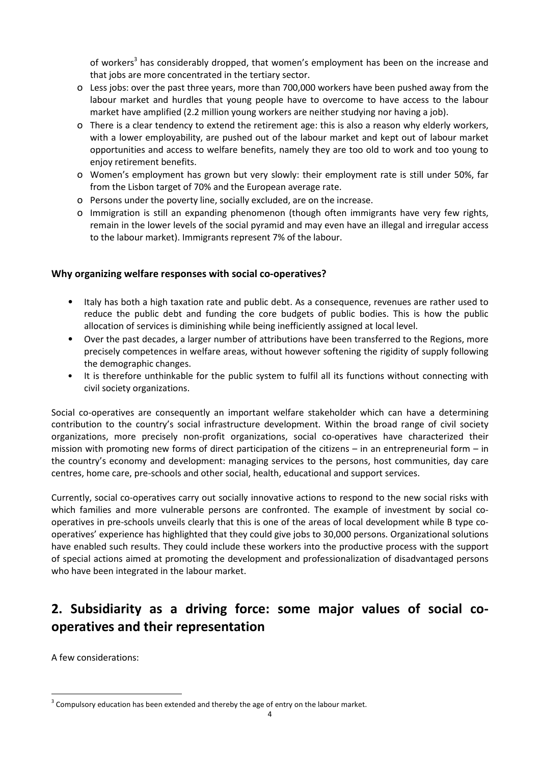of workers<sup>3</sup> has considerably dropped, that women's employment has been on the increase and that jobs are more concentrated in the tertiary sector.

- o Less jobs: over the past three years, more than 700,000 workers have been pushed away from the labour market and hurdles that young people have to overcome to have access to the labour market have amplified (2.2 million young workers are neither studying nor having a job).
- o There is a clear tendency to extend the retirement age: this is also a reason why elderly workers, with a lower employability, are pushed out of the labour market and kept out of labour market opportunities and access to welfare benefits, namely they are too old to work and too young to enjoy retirement benefits.
- o Women's employment has grown but very slowly: their employment rate is still under 50%, far from the Lisbon target of 70% and the European average rate.
- o Persons under the poverty line, socially excluded, are on the increase.
- o Immigration is still an expanding phenomenon (though often immigrants have very few rights, remain in the lower levels of the social pyramid and may even have an illegal and irregular access to the labour market). Immigrants represent 7% of the labour.

# **Why organizing welfare responses with social co-operatives?**

- Italy has both a high taxation rate and public debt. As a consequence, revenues are rather used to reduce the public debt and funding the core budgets of public bodies. This is how the public allocation of services is diminishing while being inefficiently assigned at local level.
- Over the past decades, a larger number of attributions have been transferred to the Regions, more precisely competences in welfare areas, without however softening the rigidity of supply following the demographic changes.
- It is therefore unthinkable for the public system to fulfil all its functions without connecting with civil society organizations.

Social co-operatives are consequently an important welfare stakeholder which can have a determining contribution to the country's social infrastructure development. Within the broad range of civil society organizations, more precisely non-profit organizations, social co-operatives have characterized their mission with promoting new forms of direct participation of the citizens – in an entrepreneurial form – in the country's economy and development: managing services to the persons, host communities, day care centres, home care, pre-schools and other social, health, educational and support services.

Currently, social co-operatives carry out socially innovative actions to respond to the new social risks with which families and more vulnerable persons are confronted. The example of investment by social cooperatives in pre-schools unveils clearly that this is one of the areas of local development while B type cooperatives' experience has highlighted that they could give jobs to 30,000 persons. Organizational solutions have enabled such results. They could include these workers into the productive process with the support of special actions aimed at promoting the development and professionalization of disadvantaged persons who have been integrated in the labour market.

# **2. Subsidiarity as a driving force: some major values of social cooperatives and their representation**

A few considerations:

 $\overline{a}$ 

 $3$  Compulsory education has been extended and thereby the age of entry on the labour market.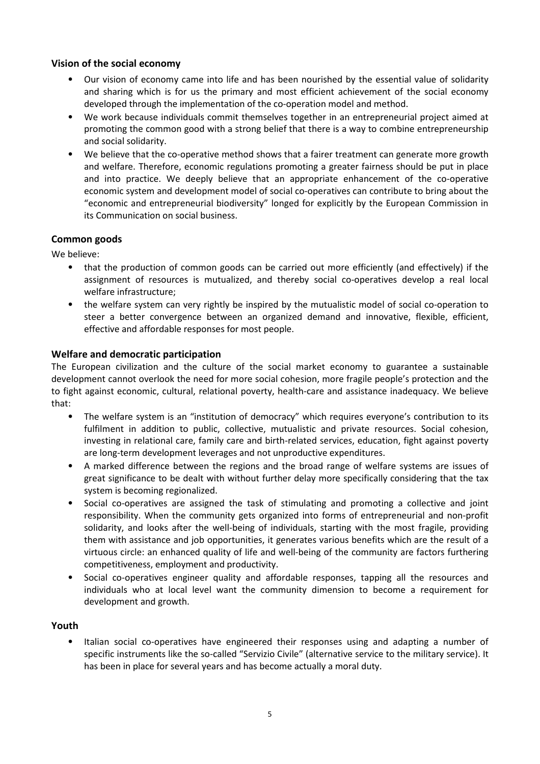# **Vision of the social economy**

- Our vision of economy came into life and has been nourished by the essential value of solidarity and sharing which is for us the primary and most efficient achievement of the social economy developed through the implementation of the co-operation model and method.
- We work because individuals commit themselves together in an entrepreneurial project aimed at promoting the common good with a strong belief that there is a way to combine entrepreneurship and social solidarity.
- We believe that the co-operative method shows that a fairer treatment can generate more growth and welfare. Therefore, economic regulations promoting a greater fairness should be put in place and into practice. We deeply believe that an appropriate enhancement of the co-operative economic system and development model of social co-operatives can contribute to bring about the "economic and entrepreneurial biodiversity" longed for explicitly by the European Commission in its Communication on social business.

# **Common goods**

We believe:

- that the production of common goods can be carried out more efficiently (and effectively) if the assignment of resources is mutualized, and thereby social co-operatives develop a real local welfare infrastructure;
- the welfare system can very rightly be inspired by the mutualistic model of social co-operation to steer a better convergence between an organized demand and innovative, flexible, efficient, effective and affordable responses for most people.

# **Welfare and democratic participation**

The European civilization and the culture of the social market economy to guarantee a sustainable development cannot overlook the need for more social cohesion, more fragile people's protection and the to fight against economic, cultural, relational poverty, health-care and assistance inadequacy. We believe that:

- The welfare system is an "institution of democracy" which requires everyone's contribution to its fulfilment in addition to public, collective, mutualistic and private resources. Social cohesion, investing in relational care, family care and birth-related services, education, fight against poverty are long-term development leverages and not unproductive expenditures.
- A marked difference between the regions and the broad range of welfare systems are issues of great significance to be dealt with without further delay more specifically considering that the tax system is becoming regionalized.
- Social co-operatives are assigned the task of stimulating and promoting a collective and joint responsibility. When the community gets organized into forms of entrepreneurial and non-profit solidarity, and looks after the well-being of individuals, starting with the most fragile, providing them with assistance and job opportunities, it generates various benefits which are the result of a virtuous circle: an enhanced quality of life and well-being of the community are factors furthering competitiveness, employment and productivity.
- Social co-operatives engineer quality and affordable responses, tapping all the resources and individuals who at local level want the community dimension to become a requirement for development and growth.

# **Youth**

• Italian social co-operatives have engineered their responses using and adapting a number of specific instruments like the so-called "Servizio Civile" (alternative service to the military service). It has been in place for several years and has become actually a moral duty.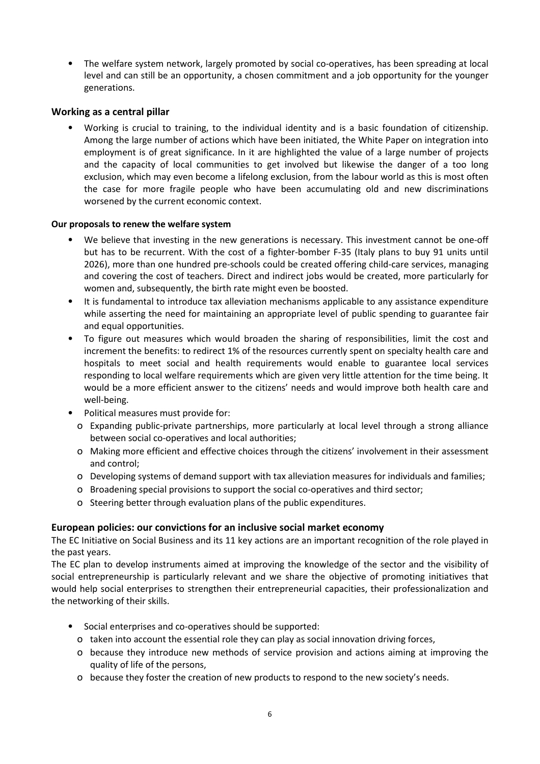• The welfare system network, largely promoted by social co-operatives, has been spreading at local level and can still be an opportunity, a chosen commitment and a job opportunity for the younger generations.

# **Working as a central pillar**

• Working is crucial to training, to the individual identity and is a basic foundation of citizenship. Among the large number of actions which have been initiated, the White Paper on integration into employment is of great significance. In it are highlighted the value of a large number of projects and the capacity of local communities to get involved but likewise the danger of a too long exclusion, which may even become a lifelong exclusion, from the labour world as this is most often the case for more fragile people who have been accumulating old and new discriminations worsened by the current economic context.

# **Our proposals to renew the welfare system**

- We believe that investing in the new generations is necessary. This investment cannot be one-off but has to be recurrent. With the cost of a fighter-bomber F-35 (Italy plans to buy 91 units until 2026), more than one hundred pre-schools could be created offering child-care services, managing and covering the cost of teachers. Direct and indirect jobs would be created, more particularly for women and, subsequently, the birth rate might even be boosted.
- It is fundamental to introduce tax alleviation mechanisms applicable to any assistance expenditure while asserting the need for maintaining an appropriate level of public spending to guarantee fair and equal opportunities.
- To figure out measures which would broaden the sharing of responsibilities, limit the cost and increment the benefits: to redirect 1% of the resources currently spent on specialty health care and hospitals to meet social and health requirements would enable to guarantee local services responding to local welfare requirements which are given very little attention for the time being. It would be a more efficient answer to the citizens' needs and would improve both health care and well-being.
- Political measures must provide for:
	- o Expanding public-private partnerships, more particularly at local level through a strong alliance between social co-operatives and local authorities;
	- o Making more efficient and effective choices through the citizens' involvement in their assessment and control;
	- o Developing systems of demand support with tax alleviation measures for individuals and families;
	- o Broadening special provisions to support the social co-operatives and third sector;
	- o Steering better through evaluation plans of the public expenditures.

# **European policies: our convictions for an inclusive social market economy**

The EC Initiative on Social Business and its 11 key actions are an important recognition of the role played in the past years.

The EC plan to develop instruments aimed at improving the knowledge of the sector and the visibility of social entrepreneurship is particularly relevant and we share the objective of promoting initiatives that would help social enterprises to strengthen their entrepreneurial capacities, their professionalization and the networking of their skills.

- Social enterprises and co-operatives should be supported:
	- o taken into account the essential role they can play as social innovation driving forces,
	- o because they introduce new methods of service provision and actions aiming at improving the quality of life of the persons,
	- o because they foster the creation of new products to respond to the new society's needs.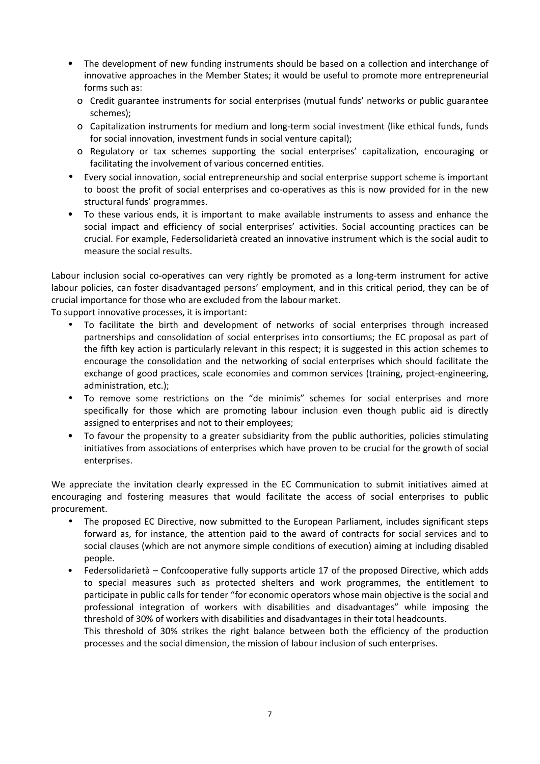- The development of new funding instruments should be based on a collection and interchange of innovative approaches in the Member States; it would be useful to promote more entrepreneurial forms such as:
	- o Credit guarantee instruments for social enterprises (mutual funds' networks or public guarantee schemes);
	- o Capitalization instruments for medium and long-term social investment (like ethical funds, funds for social innovation, investment funds in social venture capital);
	- o Regulatory or tax schemes supporting the social enterprises' capitalization, encouraging or facilitating the involvement of various concerned entities.
- Every social innovation, social entrepreneurship and social enterprise support scheme is important to boost the profit of social enterprises and co-operatives as this is now provided for in the new structural funds' programmes.
- To these various ends, it is important to make available instruments to assess and enhance the social impact and efficiency of social enterprises' activities. Social accounting practices can be crucial. For example, Federsolidarietà created an innovative instrument which is the social audit to measure the social results.

Labour inclusion social co-operatives can very rightly be promoted as a long-term instrument for active labour policies, can foster disadvantaged persons' employment, and in this critical period, they can be of crucial importance for those who are excluded from the labour market.

To support innovative processes, it is important:

- To facilitate the birth and development of networks of social enterprises through increased partnerships and consolidation of social enterprises into consortiums; the EC proposal as part of the fifth key action is particularly relevant in this respect; it is suggested in this action schemes to encourage the consolidation and the networking of social enterprises which should facilitate the exchange of good practices, scale economies and common services (training, project-engineering, administration, etc.);
- To remove some restrictions on the "de minimis" schemes for social enterprises and more specifically for those which are promoting labour inclusion even though public aid is directly assigned to enterprises and not to their employees;
- To favour the propensity to a greater subsidiarity from the public authorities, policies stimulating initiatives from associations of enterprises which have proven to be crucial for the growth of social enterprises.

We appreciate the invitation clearly expressed in the EC Communication to submit initiatives aimed at encouraging and fostering measures that would facilitate the access of social enterprises to public procurement.

- The proposed EC Directive, now submitted to the European Parliament, includes significant steps forward as, for instance, the attention paid to the award of contracts for social services and to social clauses (which are not anymore simple conditions of execution) aiming at including disabled people.
- Federsolidarietà Confcooperative fully supports article 17 of the proposed Directive, which adds to special measures such as protected shelters and work programmes, the entitlement to participate in public calls for tender "for economic operators whose main objective is the social and professional integration of workers with disabilities and disadvantages" while imposing the threshold of 30% of workers with disabilities and disadvantages in their total headcounts.

This threshold of 30% strikes the right balance between both the efficiency of the production processes and the social dimension, the mission of labour inclusion of such enterprises.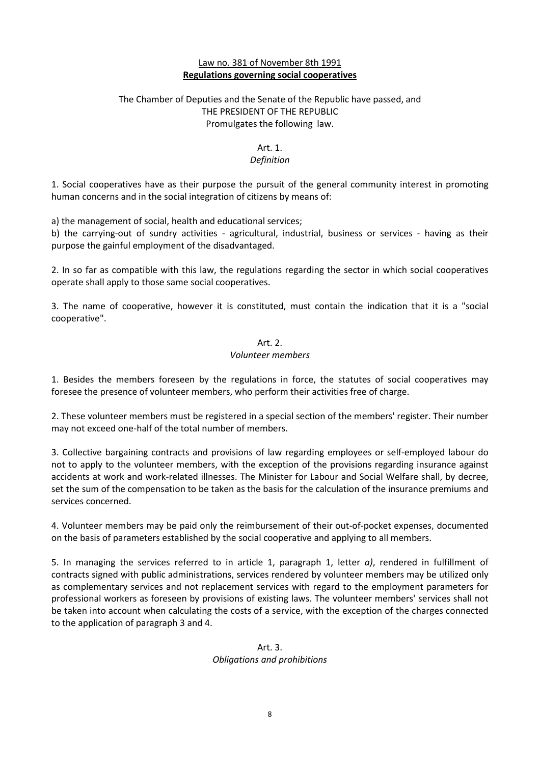# Law no. 381 of November 8th 1991 **Regulations governing social cooperatives**

# The Chamber of Deputies and the Senate of the Republic have passed, and THE PRESIDENT OF THE REPUBLIC Promulgates the following law.

#### Art. 1.

# *Definition*

1. Social cooperatives have as their purpose the pursuit of the general community interest in promoting human concerns and in the social integration of citizens by means of:

a) the management of social, health and educational services;

b) the carrying-out of sundry activities - agricultural, industrial, business or services - having as their purpose the gainful employment of the disadvantaged.

2. In so far as compatible with this law, the regulations regarding the sector in which social cooperatives operate shall apply to those same social cooperatives.

3. The name of cooperative, however it is constituted, must contain the indication that it is a "social cooperative".

#### Art. 2.

#### *Volunteer members*

1. Besides the members foreseen by the regulations in force, the statutes of social cooperatives may foresee the presence of volunteer members, who perform their activities free of charge.

2. These volunteer members must be registered in a special section of the members' register. Their number may not exceed one-half of the total number of members.

3. Collective bargaining contracts and provisions of law regarding employees or self-employed labour do not to apply to the volunteer members, with the exception of the provisions regarding insurance against accidents at work and work-related illnesses. The Minister for Labour and Social Welfare shall, by decree, set the sum of the compensation to be taken as the basis for the calculation of the insurance premiums and services concerned.

4. Volunteer members may be paid only the reimbursement of their out-of-pocket expenses, documented on the basis of parameters established by the social cooperative and applying to all members.

5. In managing the services referred to in article 1, paragraph 1, letter *a)*, rendered in fulfillment of contracts signed with public administrations, services rendered by volunteer members may be utilized only as complementary services and not replacement services with regard to the employment parameters for professional workers as foreseen by provisions of existing laws. The volunteer members' services shall not be taken into account when calculating the costs of a service, with the exception of the charges connected to the application of paragraph 3 and 4.

# Art. 3. *Obligations and prohibitions*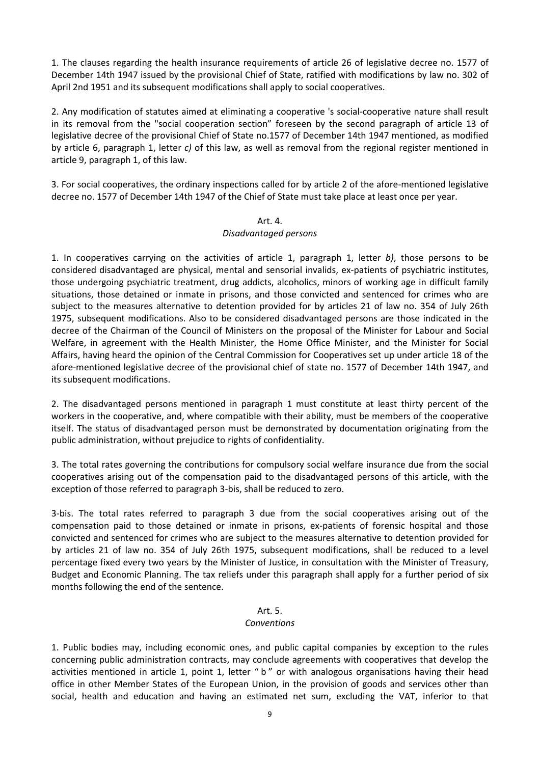1. The clauses regarding the health insurance requirements of article 26 of legislative decree no. 1577 of December 14th 1947 issued by the provisional Chief of State, ratified with modifications by law no. 302 of April 2nd 1951 and its subsequent modifications shall apply to social cooperatives.

2. Any modification of statutes aimed at eliminating a cooperative 's social-cooperative nature shall result in its removal from the "social cooperation section" foreseen by the second paragraph of article 13 of legislative decree of the provisional Chief of State no.1577 of December 14th 1947 mentioned, as modified by article 6, paragraph 1, letter *c)* of this law, as well as removal from the regional register mentioned in article 9, paragraph 1, of this law.

3. For social cooperatives, the ordinary inspections called for by article 2 of the afore-mentioned legislative decree no. 1577 of December 14th 1947 of the Chief of State must take place at least once per year.

# Art. 4.

# *Disadvantaged persons*

1. In cooperatives carrying on the activities of article 1, paragraph 1, letter *b)*, those persons to be considered disadvantaged are physical, mental and sensorial invalids, ex-patients of psychiatric institutes, those undergoing psychiatric treatment, drug addicts, alcoholics, minors of working age in difficult family situations, those detained or inmate in prisons, and those convicted and sentenced for crimes who are subject to the measures alternative to detention provided for by articles 21 of law no. 354 of July 26th 1975, subsequent modifications. Also to be considered disadvantaged persons are those indicated in the decree of the Chairman of the Council of Ministers on the proposal of the Minister for Labour and Social Welfare, in agreement with the Health Minister, the Home Office Minister, and the Minister for Social Affairs, having heard the opinion of the Central Commission for Cooperatives set up under article 18 of the afore-mentioned legislative decree of the provisional chief of state no. 1577 of December 14th 1947, and its subsequent modifications.

2. The disadvantaged persons mentioned in paragraph 1 must constitute at least thirty percent of the workers in the cooperative, and, where compatible with their ability, must be members of the cooperative itself. The status of disadvantaged person must be demonstrated by documentation originating from the public administration, without prejudice to rights of confidentiality.

3. The total rates governing the contributions for compulsory social welfare insurance due from the social cooperatives arising out of the compensation paid to the disadvantaged persons of this article, with the exception of those referred to paragraph 3-bis, shall be reduced to zero.

3-bis. The total rates referred to paragraph 3 due from the social cooperatives arising out of the compensation paid to those detained or inmate in prisons, ex-patients of forensic hospital and those convicted and sentenced for crimes who are subject to the measures alternative to detention provided for by articles 21 of law no. 354 of July 26th 1975, subsequent modifications, shall be reduced to a level percentage fixed every two years by the Minister of Justice, in consultation with the Minister of Treasury, Budget and Economic Planning. The tax reliefs under this paragraph shall apply for a further period of six months following the end of the sentence.

# Art. 5.

# *Conventions*

1. Public bodies may, including economic ones, and public capital companies by exception to the rules concerning public administration contracts, may conclude agreements with cooperatives that develop the activities mentioned in article 1, point 1, letter "b" or with analogous organisations having their head office in other Member States of the European Union, in the provision of goods and services other than social, health and education and having an estimated net sum, excluding the VAT, inferior to that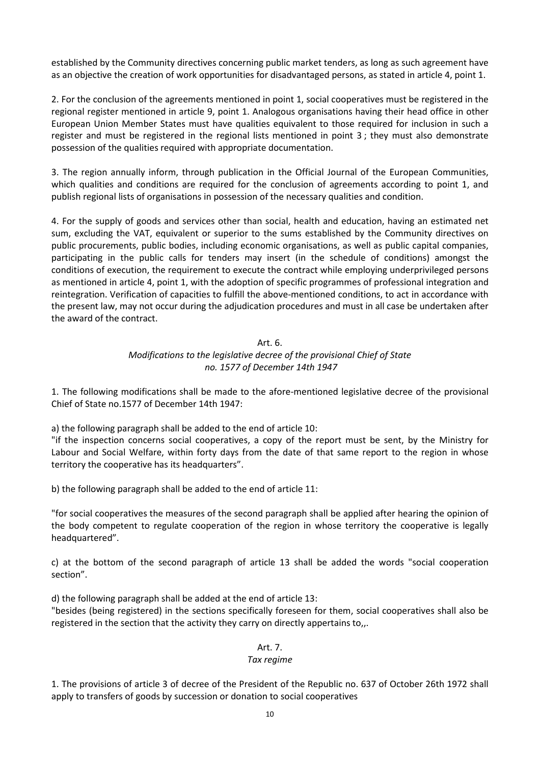established by the Community directives concerning public market tenders, as long as such agreement have as an objective the creation of work opportunities for disadvantaged persons, as stated in article 4, point 1.

2. For the conclusion of the agreements mentioned in point 1, social cooperatives must be registered in the regional register mentioned in article 9, point 1. Analogous organisations having their head office in other European Union Member States must have qualities equivalent to those required for inclusion in such a register and must be registered in the regional lists mentioned in point 3 ; they must also demonstrate possession of the qualities required with appropriate documentation.

3. The region annually inform, through publication in the Official Journal of the European Communities, which qualities and conditions are required for the conclusion of agreements according to point 1, and publish regional lists of organisations in possession of the necessary qualities and condition.

4. For the supply of goods and services other than social, health and education, having an estimated net sum, excluding the VAT, equivalent or superior to the sums established by the Community directives on public procurements, public bodies, including economic organisations, as well as public capital companies, participating in the public calls for tenders may insert (in the schedule of conditions) amongst the conditions of execution, the requirement to execute the contract while employing underprivileged persons as mentioned in article 4, point 1, with the adoption of specific programmes of professional integration and reintegration. Verification of capacities to fulfill the above-mentioned conditions, to act in accordance with the present law, may not occur during the adjudication procedures and must in all case be undertaken after the award of the contract.

# Art. 6.

# *Modifications to the legislative decree of the provisional Chief of State no. 1577 of December 14th 1947*

1. The following modifications shall be made to the afore-mentioned legislative decree of the provisional Chief of State no.1577 of December 14th 1947:

a) the following paragraph shall be added to the end of article 10:

"if the inspection concerns social cooperatives, a copy of the report must be sent, by the Ministry for Labour and Social Welfare, within forty days from the date of that same report to the region in whose territory the cooperative has its headquarters".

b) the following paragraph shall be added to the end of article 11:

"for social cooperatives the measures of the second paragraph shall be applied after hearing the opinion of the body competent to regulate cooperation of the region in whose territory the cooperative is legally headquartered".

c) at the bottom of the second paragraph of article 13 shall be added the words "social cooperation section".

d) the following paragraph shall be added at the end of article 13:

"besides (being registered) in the sections specifically foreseen for them, social cooperatives shall also be registered in the section that the activity they carry on directly appertains to,,.

# Art. 7.

# *Tax regime*

1. The provisions of article 3 of decree of the President of the Republic no. 637 of October 26th 1972 shall apply to transfers of goods by succession or donation to social cooperatives